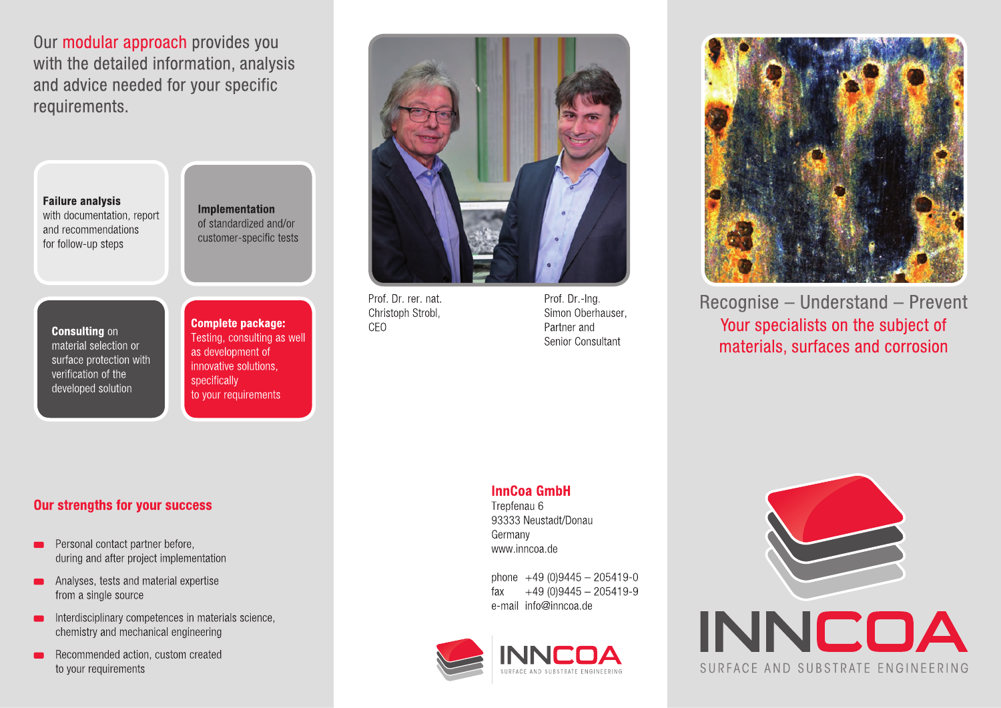Our modular approach provides you with the detailed information, analysis and advice needed for your specific requirements.

**Failure analysis** with documentation, report and recommendations for follow-up steps

**Implementation** of standardized and/or customer-specific tests

**Consulting on** material selection or surface protection with verification of the developed solution

**Complete package:** Testing, consulting as well as development of innovative solutions. specifically to your requirements



Prof. Dr. rer. nat. Christoph Strobl. CFO

Prof. Dr.-Ing. Simon Oberhauser. Partner and Senior Consultant



Recognise - Understand - Prevent Your specialists on the subject of materials, surfaces and corrosion

### **InnCoa GmbH**

Trepfenau 6 93333 Neustadt/Donau Germany www.inncoa.de

phone  $+49(0)9445 - 205419 - 0$  $+49(0)9445 - 205419-9$ fax e-mail info@inncoa.de





# SURFACE AND SUBSTRATE ENGINEERING

## **Our strengths for your success**

- Personal contact partner before, during and after project implementation
- Analyses, tests and material expertise  $\blacksquare$ from a single source
- Interdisciplinary competences in materials science,  $\blacksquare$ chemistry and mechanical engineering
- Recommended action, custom created to your requirements